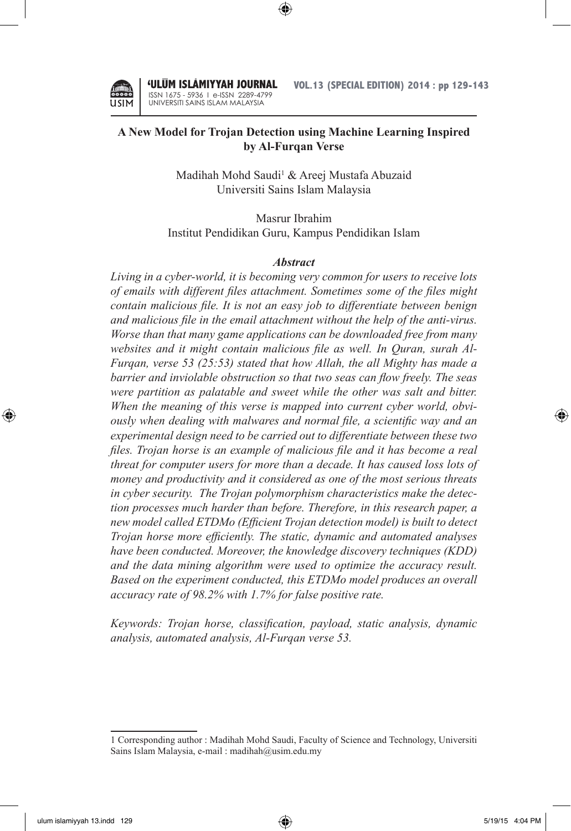

'ULUM ISLAMIYYAH JOURNAL ISSN 1675 - 5936 I e-ISSN 2289-4799 UNIVERSITI SAINS ISLAM MALAYSIA

**VOL.13 (SPECIAL EDITION) 2014 : pp 129-143**

# **A New Model for Trojan Detection using Machine Learning Inspired by Al-Furqan Verse**

⊕

Madihah Mohd Saudi<sup>1</sup> & Areej Mustafa Abuzaid Universiti Sains Islam Malaysia

Masrur Ibrahim Institut Pendidikan Guru, Kampus Pendidikan Islam

#### *Abstract*

*Living in a cyber-world, it is becoming very common for users to receive lots of emails with different files attachment. Sometimes some of the files might contain malicious file. It is not an easy job to differentiate between benign and malicious file in the email attachment without the help of the anti-virus. Worse than that many game applications can be downloaded free from many websites and it might contain malicious file as well. In Quran, surah Al-Furqan, verse 53 (25:53) stated that how Allah, the all Mighty has made a barrier and inviolable obstruction so that two seas can flow freely. The seas*  were partition as palatable and sweet while the other was salt and bitter. *When the meaning of this verse is mapped into current cyber world, obviously when dealing with malwares and normal file, a scientific way and an experimental design need to be carried out to differentiate between these two files. Trojan horse is an example of malicious file and it has become a real threat for computer users for more than a decade. It has caused loss lots of money and productivity and it considered as one of the most serious threats in cyber security. The Trojan polymorphism characteristics make the detection processes much harder than before. Therefore, in this research paper, a new model called ETDMo (Efficient Trojan detection model) is built to detect Trojan horse more efficiently. The static, dynamic and automated analyses have been conducted. Moreover, the knowledge discovery techniques (KDD) and the data mining algorithm were used to optimize the accuracy result. Based on the experiment conducted, this ETDMo model produces an overall accuracy rate of 98.2% with 1.7% for false positive rate.*

*Keywords: Trojan horse, classification, payload, static analysis, dynamic analysis, automated analysis, Al-Furqan verse 53.*

↔

<sup>1</sup> Corresponding author : Madihah Mohd Saudi, Faculty of Science and Technology, Universiti Sains Islam Malaysia, e-mail : madihah@usim.edu.my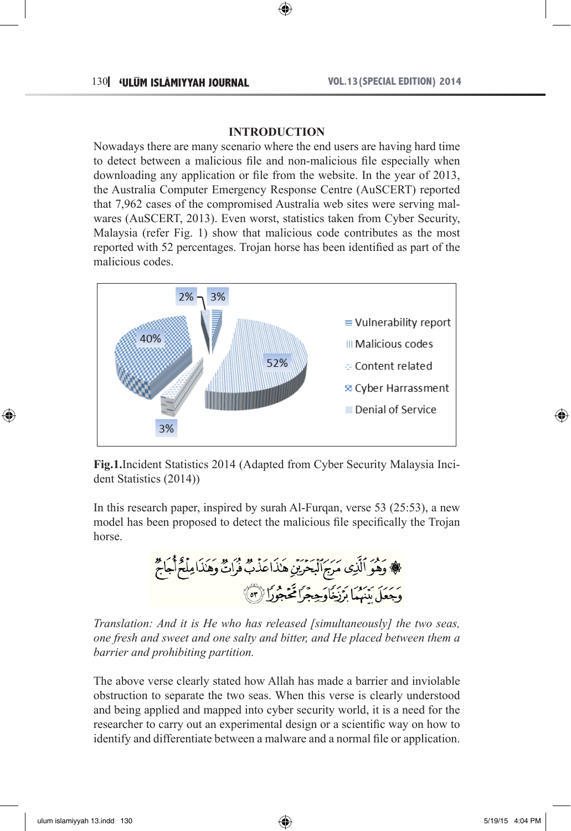#### **INTRODUCTION**

⊕

Nowadays there are many scenario where the end users are having hard time to detect between a malicious file and non-malicious file especially when downloading any application or file from the website. In the year of 2013, the Australia Computer Emergency Response Centre (AuSCERT) reported that 7,962 cases of the compromised Australia web sites were serving malwares (AuSCERT, 2013). Even worst, statistics taken from Cyber Security, Malaysia (refer Fig. 1) show that malicious code contributes as the most reported with 52 percentages. Trojan horse has been identified as part of the malicious codes.



**Fig.1.**Incident Statistics 2014 (Adapted from Cyber Security Malaysia Incident Statistics (2014))

In this research paper, inspired by surah Al-Furqan, verse 53 (25:53), a new model has been proposed to detect the malicious file specifically the Trojan horse.

، وَهُوَ ٱلَّذِى مَرَجَ ٱلْبَحْرَيْنِ هَٰذَا عَذْبٌ فُرَاتٌ وَهَٰذَا مِلْحٌ أَجَاجٌ 

*Translation: And it is He who has released [simultaneously] the two seas, one fresh and sweet and one salty and bitter, and He placed between them a barrier and prohibiting partition.*

The above verse clearly stated how Allah has made a barrier and inviolable obstruction to separate the two seas. When this verse is clearly understood and being applied and mapped into cyber security world, it is a need for the researcher to carry out an experimental design or a scientific way on how to identify and differentiate between a malware and a normal file or application.

⊕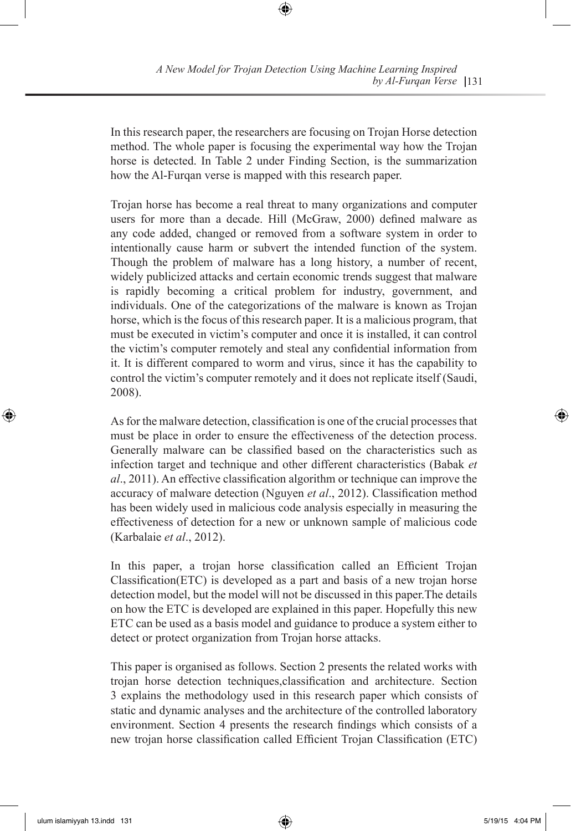In this research paper, the researchers are focusing on Trojan Horse detection method. The whole paper is focusing the experimental way how the Trojan horse is detected. In Table 2 under Finding Section, is the summarization how the Al-Furqan verse is mapped with this research paper.

⊕

Trojan horse has become a real threat to many organizations and computer users for more than a decade. Hill (McGraw, 2000) defined malware as any code added, changed or removed from a software system in order to intentionally cause harm or subvert the intended function of the system. Though the problem of malware has a long history, a number of recent, widely publicized attacks and certain economic trends suggest that malware is rapidly becoming a critical problem for industry, government, and individuals. One of the categorizations of the malware is known as Trojan horse, which is the focus of this research paper. It is a malicious program, that must be executed in victim's computer and once it is installed, it can control the victim's computer remotely and steal any confidential information from it. It is different compared to worm and virus, since it has the capability to control the victim's computer remotely and it does not replicate itself (Saudi, 2008).

As for the malware detection, classification is one of the crucial processes that must be place in order to ensure the effectiveness of the detection process. Generally malware can be classified based on the characteristics such as infection target and technique and other different characteristics (Babak *et al*., 2011). An effective classification algorithm or technique can improve the accuracy of malware detection (Nguyen *et al*., 2012). Classification method has been widely used in malicious code analysis especially in measuring the effectiveness of detection for a new or unknown sample of malicious code (Karbalaie *et al*., 2012).

In this paper, a trojan horse classification called an Efficient Trojan Classification(ETC) is developed as a part and basis of a new trojan horse detection model, but the model will not be discussed in this paper.The details on how the ETC is developed are explained in this paper. Hopefully this new ETC can be used as a basis model and guidance to produce a system either to detect or protect organization from Trojan horse attacks.

This paper is organised as follows. Section 2 presents the related works with trojan horse detection techniques,classification and architecture. Section 3 explains the methodology used in this research paper which consists of static and dynamic analyses and the architecture of the controlled laboratory environment. Section 4 presents the research findings which consists of a new trojan horse classification called Efficient Trojan Classification (ETC)

ulum islamiyyah 13.indd 131 5/19/15 4:04 PM

⊕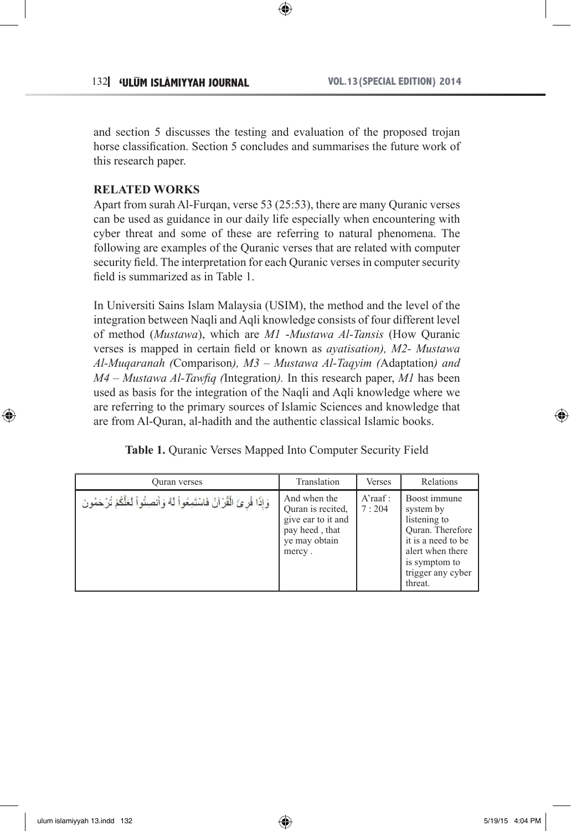and section 5 discusses the testing and evaluation of the proposed trojan horse classification. Section 5 concludes and summarises the future work of this research paper.

⊕

## **RELATED WORKS**

Apart from surah Al-Furqan, verse 53 (25:53), there are many Quranic verses can be used as guidance in our daily life especially when encountering with cyber threat and some of these are referring to natural phenomena. The following are examples of the Quranic verses that are related with computer security field. The interpretation for each Quranic verses in computer security field is summarized as in Table 1.

In Universiti Sains Islam Malaysia (USIM), the method and the level of the integration between Naqli and Aqli knowledge consists of four different level of method (*Mustawa*), which are *M1* -*Mustawa Al-Tansis* (How Quranic verses is mapped in certain field or known as *ayatisation), M2- Mustawa Al-Muqaranah (*Comparison*), M3 – Mustawa Al-Taqyim (*Adaptation*) and M4 – Mustawa Al-Tawfiq (*Integration*).* In this research paper, *M1* has been used as basis for the integration of the Naqli and Aqli knowledge where we are referring to the primary sources of Islamic Sciences and knowledge that are from Al-Quran, al-hadith and the authentic classical Islamic books.

| Table 1. Quranic Verses Mapped Into Computer Security Field |  |  |  |  |
|-------------------------------------------------------------|--|--|--|--|
|-------------------------------------------------------------|--|--|--|--|

| Ouran verses                                                                       | Translation                                                                                          | <b>Verses</b>       | Relations                                                                                                                                                |
|------------------------------------------------------------------------------------|------------------------------------------------------------------------------------------------------|---------------------|----------------------------------------------------------------------------------------------------------------------------------------------------------|
| وَإِذَا قُرِيَ الْقُرْآنُ فَاسْتَمِعُواْ لَهُ وَأَنصِتُواْ لَعَلَّكُمْ تُرْحَمُونَ | And when the<br>Ouran is recited.<br>give ear to it and<br>pay heed, that<br>ye may obtain<br>mercy. | $A'$ raaf:<br>7:204 | Boost immune<br>system by<br>listening to<br>Ouran. Therefore<br>it is a need to be<br>alert when there<br>is symptom to<br>trigger any cyber<br>threat. |

⊕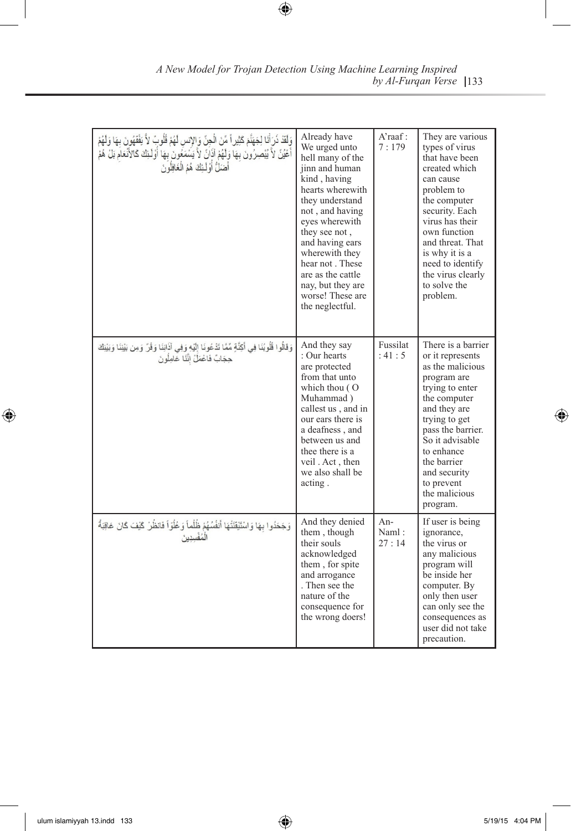| وَلَقَدْ ذَرَأَنَا لِجَهَنَّمَ كَثِيرٍ أَ مِّنَ الْجِنِّ وَالإِنسِ لَهُمْ قُلُوبٍّ لاَّ يَفْقَهُونَ بِهَا وَلَهُمْ<br>أَعْيُنٌ لاَّ يُبْصِرُونَ بِهَا وَلَهُمْ آذَانٌ لاَّ يَشْمَعُونَ بِهَا أَوْلَـئِكَ كَالأَنْعَامُ بَلْ هُمْ<br>أَعْيُنٌ لاَّ يُبْصِرُونَ بِهَا وَلَهُمْ آذَانٌ لاَّ يَشْمَعُونَ بِهَا أَوْلَـئِكَ كَالأَنْعَامُ بَلْ هُمْ | Already have<br>We urged unto<br>hell many of the<br>jinn and human<br>kind, having<br>hearts wherewith<br>they understand<br>not, and having<br>eyes wherewith<br>they see not.<br>and having ears<br>wherewith they<br>hear not. These<br>are as the cattle<br>nay, but they are<br>worse! These are<br>the neglectful. | A'raaf:<br>7:179      | They are various<br>types of virus<br>that have been<br>created which<br>can cause<br>problem to<br>the computer<br>security. Each<br>virus has their<br>own function<br>and threat. That<br>is why it is a<br>need to identify<br>the virus clearly<br>to solve the<br>problem. |
|------------------------------------------------------------------------------------------------------------------------------------------------------------------------------------------------------------------------------------------------------------------------------------------------------------------------------------------------|---------------------------------------------------------------------------------------------------------------------------------------------------------------------------------------------------------------------------------------------------------------------------------------------------------------------------|-----------------------|----------------------------------------------------------------------------------------------------------------------------------------------------------------------------------------------------------------------------------------------------------------------------------|
| وَقَالُوا قُلُوبُنَا فِي أَكِنَّةٍ مِّمَّا تَدْعُونَا إِلَيْهِ وَفِي آذَانِنَا وَقُرٍّ وَمِن بَيْنِنَا وَبَيْنِك<br>حِجَابٌ فَاعْمَلْ إِنَّنَا عَامِلُونَ                                                                                                                                                                                      | And they say<br>: Our hearts<br>are protected<br>from that unto<br>which thou $($ $O$<br>Muhammad)<br>callest us, and in<br>our ears there is<br>a deafness, and<br>between us and<br>thee there is a<br>veil. Act, then<br>we also shall be<br>acting.                                                                   | Fussilat<br>: $41:5$  | There is a barrier<br>or it represents<br>as the malicious<br>program are<br>trying to enter<br>the computer<br>and they are<br>trying to get<br>pass the barrier.<br>So it advisable<br>to enhance<br>the barrier<br>and security<br>to prevent<br>the malicious<br>program.    |
| وَجَحَدُوا بِهَا وَاسْتَيْقَنَّتُهَا أَنفُسُهُمْ ظُلُّماً وَ عُلُوّاً فَانظُرُ كَيْفَ كَانَ عَاقِبَةُ<br>الْمُفْسِدِينَ                                                                                                                                                                                                                        | And they denied<br>them, though<br>their souls<br>acknowledged<br>them, for spite<br>and arrogance<br>. Then see the<br>nature of the<br>consequence for<br>the wrong doers!                                                                                                                                              | An-<br>Naml:<br>27:14 | If user is being<br>ignorance,<br>the virus or<br>any malicious<br>program will<br>be inside her<br>computer. By<br>only then user<br>can only see the<br>consequences as<br>user did not take<br>precaution.                                                                    |

133 *A New Model for Trojan Detection Using Machine Learning Inspired by Al-Furqan Verse*

 $\bigoplus$ 

 $\bigoplus$ 

 $\bigoplus$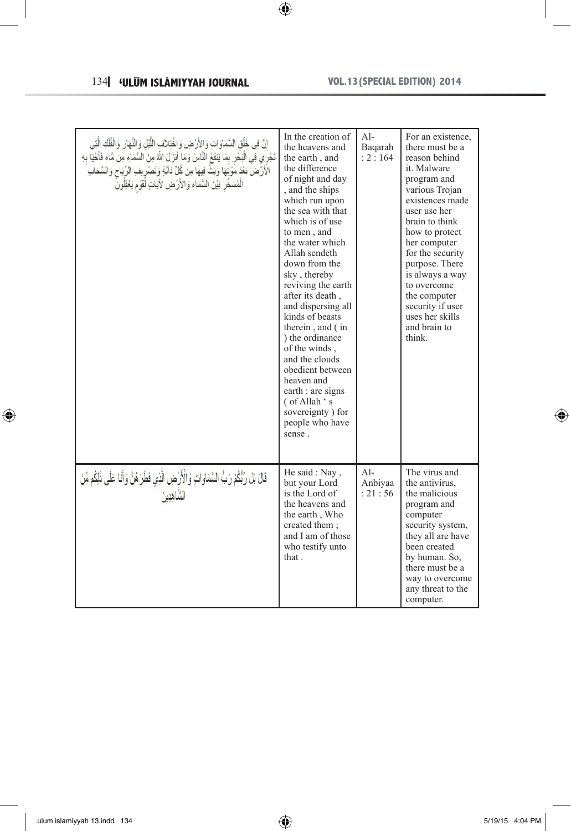# 134 **WLUM ISLAMIYYAH JOURNAL VOL.13 (SPECIAL EDITION) 2014**

 $\overline{\phantom{a}}$ 

 $\bigoplus$ 

| إِنَّ فِي خَلْقِ السَّمَاوَاتِ وَالأَرْضِ وَاخْتِلاَفِ اللَّيْلِ وَالنَّهَارِ وَالْفُلْكِ الَّتِي<br>تَجْرَي فِي الْبَحْرِ بِمَا يَنفَعُ النَّاسَ وَمَا أَنزَلَ اللَّهُ مِنَ السَّمَاءِ مِن مَّاء فَأَحْيَا بِهِ<br>الْأَرَّضَ بَعْدَ مَّوْيَّهَا وَبَثٌّ فِيهَا مِن كُلِّ دَآبَةٍ وَتَصْرِيفِ الرِّيَاحِ وَالسَّحَابِ<br>الْمُسَخِّرِ بَيْنَ السَّمَاء وَالأَرْضِ لآيَاتٍ لَّقَوْمٍ يَعْقِلُونَ | In the creation of<br>the heavens and<br>the earth, and<br>the difference<br>of night and day<br>, and the ships<br>which run upon<br>the sea with that<br>which is of use<br>to men, and<br>the water which<br>Allah sendeth<br>down from the<br>sky, thereby<br>reviving the earth<br>after its death,<br>and dispersing all<br>kinds of beasts<br>therein, and (in<br>) the ordinance<br>of the winds.<br>and the clouds<br>obedient between<br>heaven and<br>earth : are signs<br>(of Allah 's<br>sovereignty) for<br>people who have<br>sense. | $Al-$<br>Bagarah<br>: 2 : 164 | For an existence.<br>there must be a<br>reason behind<br>it. Malware<br>program and<br>various Trojan<br>existences made<br>user use her<br>brain to think<br>how to protect<br>her computer<br>for the security<br>purpose. There<br>is always a way<br>to overcome<br>the computer<br>security if user<br>uses her skills<br>and brain to<br>think. |
|--------------------------------------------------------------------------------------------------------------------------------------------------------------------------------------------------------------------------------------------------------------------------------------------------------------------------------------------------------------------------------------------------|-----------------------------------------------------------------------------------------------------------------------------------------------------------------------------------------------------------------------------------------------------------------------------------------------------------------------------------------------------------------------------------------------------------------------------------------------------------------------------------------------------------------------------------------------------|-------------------------------|-------------------------------------------------------------------------------------------------------------------------------------------------------------------------------------------------------------------------------------------------------------------------------------------------------------------------------------------------------|
| قَالَ بَل رَّبُّكُمْ رَبُّ السَّمَاوَاتِ وَالْأَرْضِ الَّذِي فَطَرَ هُنَّ وَأَنَا عَلَى ذَلِكُم مِّنَ<br>الشاهدين                                                                                                                                                                                                                                                                                | He said: Nav.<br>but your Lord<br>is the Lord of<br>the heavens and<br>the earth, Who<br>created them :<br>and I am of those<br>who testify unto<br>that.                                                                                                                                                                                                                                                                                                                                                                                           | Al-<br>Anbiyaa<br>: 21 : 56   | The virus and<br>the antivirus.<br>the malicious<br>program and<br>computer<br>security system,<br>they all are have<br>been created<br>by human. So,<br>there must be a<br>way to overcome<br>any threat to the<br>computer.                                                                                                                         |

 $\bigoplus$ 

 $\bigoplus$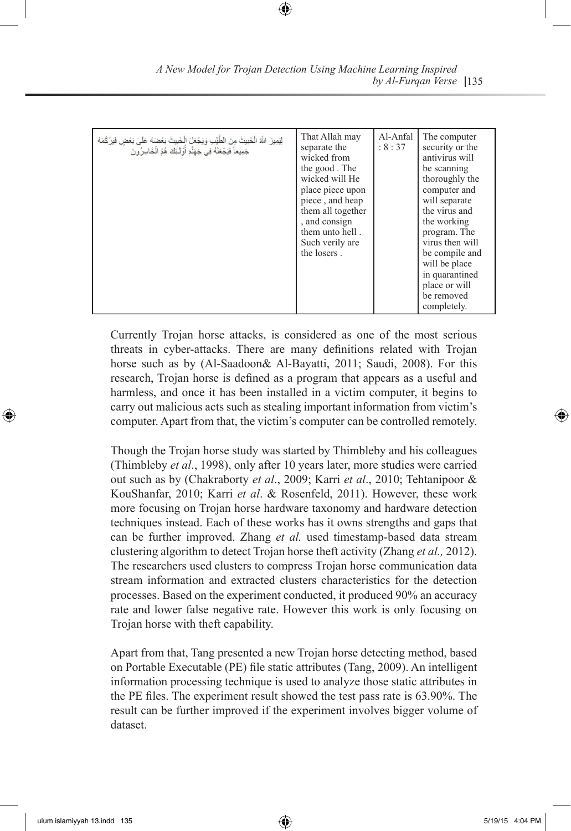Currently Trojan horse attacks, is considered as one of the most serious threats in cyber-attacks. There are many definitions related with Trojan horse such as by (Al-Saadoon& Al-Bayatti, 2011; Saudi, 2008). For this research, Trojan horse is defined as a program that appears as a useful and harmless, and once it has been installed in a victim computer, it begins to carry out malicious acts such as stealing important information from victim's computer. Apart from that, the victim's computer can be controlled remotely.

Though the Trojan horse study was started by Thimbleby and his colleagues (Thimbleby *et al*., 1998), only after 10 years later, more studies were carried out such as by (Chakraborty *et al*., 2009; Karri *et al*., 2010; Tehtanipoor & KouShanfar, 2010; Karri *et al*. & Rosenfeld, 2011). However, these work more focusing on Trojan horse hardware taxonomy and hardware detection techniques instead. Each of these works has it owns strengths and gaps that can be further improved. Zhang *et al.* used timestamp-based data stream clustering algorithm to detect Trojan horse theft activity (Zhang *et al.,* 2012). The researchers used clusters to compress Trojan horse communication data stream information and extracted clusters characteristics for the detection processes. Based on the experiment conducted, it produced 90% an accuracy rate and lower false negative rate. However this work is only focusing on Trojan horse with theft capability.

Apart from that, Tang presented a new Trojan horse detecting method, based on Portable Executable (PE) file static attributes (Tang, 2009). An intelligent information processing technique is used to analyze those static attributes in the PE files. The experiment result showed the test pass rate is 63.90%. The result can be further improved if the experiment involves bigger volume of dataset.

| A New Model for Trojan Detection Using Machine Learning Inspired |                        |  |
|------------------------------------------------------------------|------------------------|--|
|                                                                  | by Al-Furgan Verse 135 |  |

⊕

⊕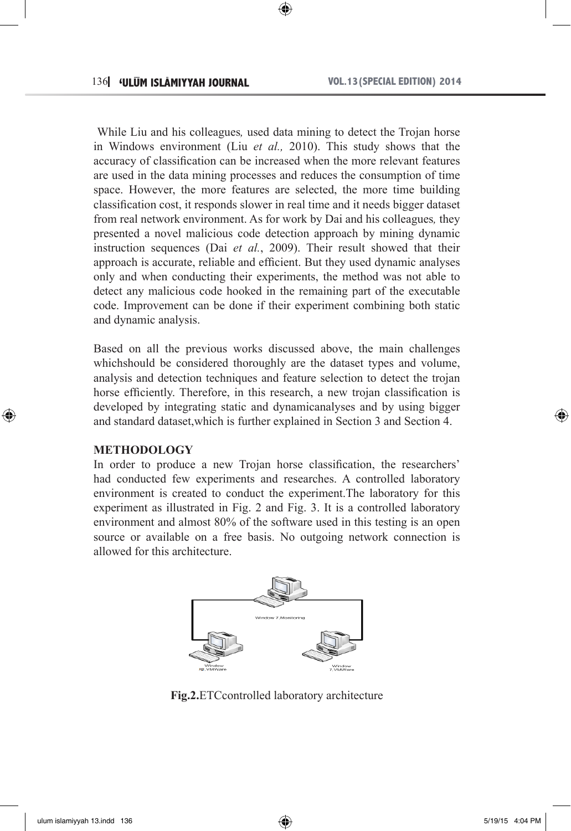While Liu and his colleagues*,* used data mining to detect the Trojan horse in Windows environment (Liu *et al.,* 2010). This study shows that the accuracy of classification can be increased when the more relevant features are used in the data mining processes and reduces the consumption of time space. However, the more features are selected, the more time building classification cost, it responds slower in real time and it needs bigger dataset from real network environment. As for work by Dai and his colleagues*,* they presented a novel malicious code detection approach by mining dynamic instruction sequences (Dai *et al.*, 2009). Their result showed that their approach is accurate, reliable and efficient. But they used dynamic analyses only and when conducting their experiments, the method was not able to detect any malicious code hooked in the remaining part of the executable code. Improvement can be done if their experiment combining both static and dynamic analysis.

Based on all the previous works discussed above, the main challenges whichshould be considered thoroughly are the dataset types and volume, analysis and detection techniques and feature selection to detect the trojan horse efficiently. Therefore, in this research, a new trojan classification is developed by integrating static and dynamicanalyses and by using bigger and standard dataset,which is further explained in Section 3 and Section 4.

## **METHODOLOGY**

↔

In order to produce a new Trojan horse classification, the researchers' had conducted few experiments and researches. A controlled laboratory environment is created to conduct the experiment.The laboratory for this experiment as illustrated in Fig. 2 and Fig. 3. It is a controlled laboratory environment and almost 80% of the software used in this testing is an open source or available on a free basis. No outgoing network connection is allowed for this architecture.



**Fig.2.**ETCcontrolled laboratory architecture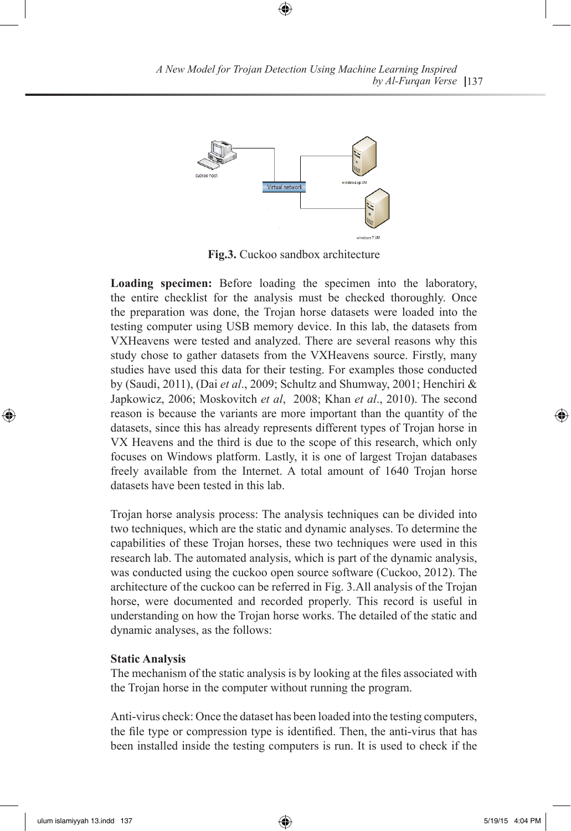

⊕

**Fig.3.** Cuckoo sandbox architecture

**Loading specimen:** Before loading the specimen into the laboratory, the entire checklist for the analysis must be checked thoroughly. Once the preparation was done, the Trojan horse datasets were loaded into the testing computer using USB memory device. In this lab, the datasets from VXHeavens were tested and analyzed. There are several reasons why this study chose to gather datasets from the VXHeavens source. Firstly, many studies have used this data for their testing. For examples those conducted by (Saudi, 2011), (Dai *et al*., 2009; Schultz and Shumway, 2001; Henchiri & Japkowicz, 2006; Moskovitch *et al*, 2008; Khan *et al*., 2010). The second reason is because the variants are more important than the quantity of the datasets, since this has already represents different types of Trojan horse in VX Heavens and the third is due to the scope of this research, which only focuses on Windows platform. Lastly, it is one of largest Trojan databases freely available from the Internet. A total amount of 1640 Trojan horse datasets have been tested in this lab.

Trojan horse analysis process: The analysis techniques can be divided into two techniques, which are the static and dynamic analyses. To determine the capabilities of these Trojan horses, these two techniques were used in this research lab. The automated analysis, which is part of the dynamic analysis, was conducted using the cuckoo open source software (Cuckoo, 2012). The architecture of the cuckoo can be referred in Fig. 3.All analysis of the Trojan horse, were documented and recorded properly. This record is useful in understanding on how the Trojan horse works. The detailed of the static and dynamic analyses, as the follows:

#### **Static Analysis**

The mechanism of the static analysis is by looking at the files associated with the Trojan horse in the computer without running the program.

Anti-virus check: Once the dataset has been loaded into the testing computers, the file type or compression type is identified. Then, the anti-virus that has been installed inside the testing computers is run. It is used to check if the

⊕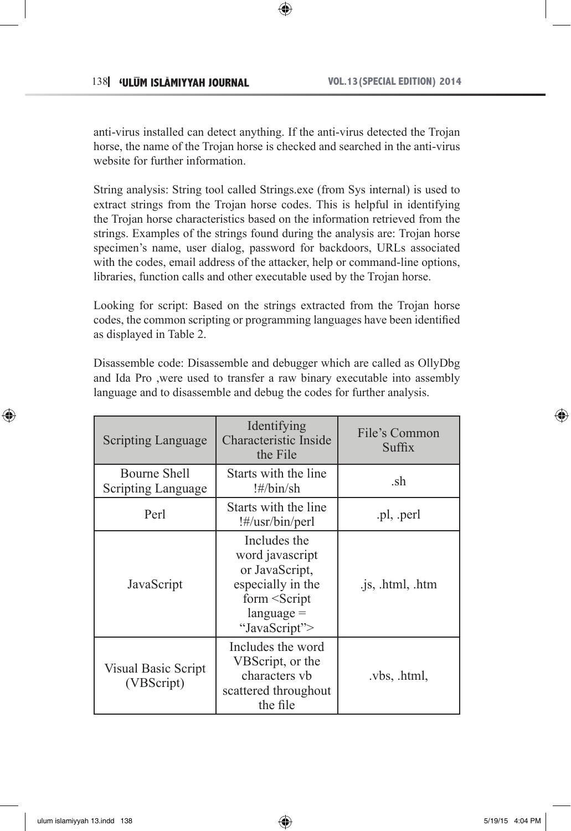anti-virus installed can detect anything. If the anti-virus detected the Trojan horse, the name of the Trojan horse is checked and searched in the anti-virus website for further information.

⊕

String analysis: String tool called Strings.exe (from Sys internal) is used to extract strings from the Trojan horse codes. This is helpful in identifying the Trojan horse characteristics based on the information retrieved from the strings. Examples of the strings found during the analysis are: Trojan horse specimen's name, user dialog, password for backdoors, URLs associated with the codes, email address of the attacker, help or command-line options, libraries, function calls and other executable used by the Trojan horse.

Looking for script: Based on the strings extracted from the Trojan horse codes, the common scripting or programming languages have been identified as displayed in Table 2.

Disassemble code: Disassemble and debugger which are called as OllyDbg and Ida Pro ,were used to transfer a raw binary executable into assembly language and to disassemble and debug the codes for further analysis.

| Scripting Language                        | Identifying<br><b>Characteristic Inside</b><br>the File                                                                                            | File's Common<br>Suffix |
|-------------------------------------------|----------------------------------------------------------------------------------------------------------------------------------------------------|-------------------------|
| Bourne Shell<br><b>Scripting Language</b> | Starts with the line<br>!#/bin/sh                                                                                                                  | .sh                     |
| Perl                                      | Starts with the line<br>!#/usr/bin/perl                                                                                                            | .pl, .perl              |
| JavaScript                                | Includes the<br>word javascript<br>or JavaScript,<br>especially in the<br>form <script<br><math>language =</math><br/>"JavaScript"&gt;</script<br> | .js, .html, .htm        |
| Visual Basic Script<br>(VBScript)         | Includes the word<br>VBScript, or the<br>characters vb<br>scattered throughout<br>the file                                                         | .vbs, .html,            |

⊕

↔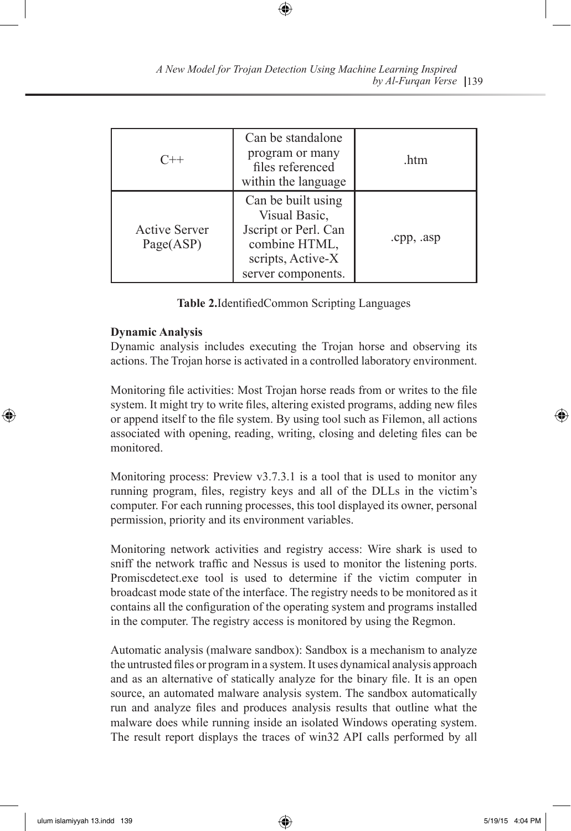| $C++$                             | Can be standalone<br>program or many<br>files referenced<br>within the language                                         | .htm       |
|-----------------------------------|-------------------------------------------------------------------------------------------------------------------------|------------|
| <b>Active Server</b><br>Page(ASP) | Can be built using<br>Visual Basic,<br>Jscript or Perl. Can<br>combine HTML,<br>scripts, Active-X<br>server components. | .cpp, .asp |

⊕

139 *by Al-Furqan Verse A New Model for Trojan Detection Using Machine Learning Inspired*

**Table 2.**IdentifiedCommon Scripting Languages

#### **Dynamic Analysis**

Dynamic analysis includes executing the Trojan horse and observing its actions. The Trojan horse is activated in a controlled laboratory environment.

Monitoring file activities: Most Trojan horse reads from or writes to the file system. It might try to write files, altering existed programs, adding new files or append itself to the file system. By using tool such as Filemon, all actions associated with opening, reading, writing, closing and deleting files can be monitored.

Monitoring process: Preview v3.7.3.1 is a tool that is used to monitor any running program, files, registry keys and all of the DLLs in the victim's computer. For each running processes, this tool displayed its owner, personal permission, priority and its environment variables.

Monitoring network activities and registry access: Wire shark is used to sniff the network traffic and Nessus is used to monitor the listening ports. Promiscdetect.exe tool is used to determine if the victim computer in broadcast mode state of the interface. The registry needs to be monitored as it contains all the configuration of the operating system and programs installed in the computer. The registry access is monitored by using the Regmon.

Automatic analysis (malware sandbox): Sandbox is a mechanism to analyze the untrusted files or program in a system. It uses dynamical analysis approach and as an alternative of statically analyze for the binary file. It is an open source, an automated malware analysis system. The sandbox automatically run and analyze files and produces analysis results that outline what the malware does while running inside an isolated Windows operating system. The result report displays the traces of win32 API calls performed by all

⊕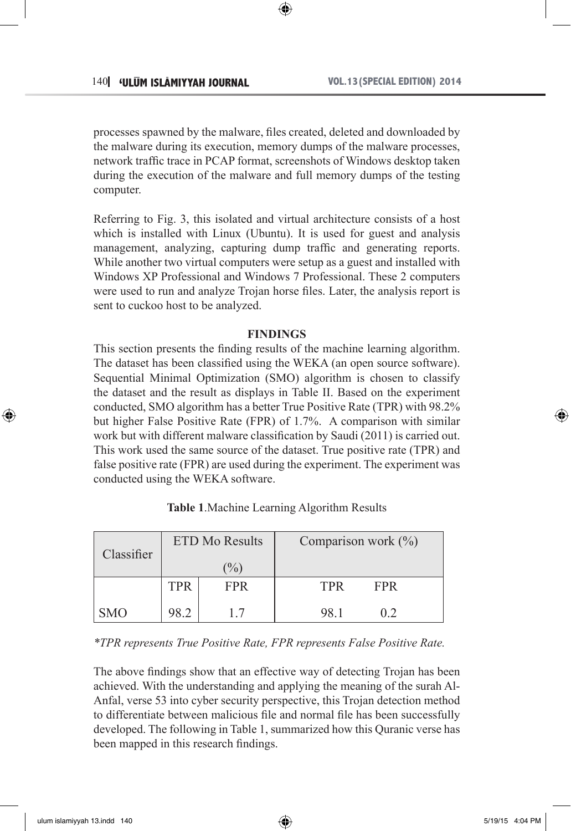processes spawned by the malware, files created, deleted and downloaded by the malware during its execution, memory dumps of the malware processes, network traffic trace in PCAP format, screenshots of Windows desktop taken during the execution of the malware and full memory dumps of the testing computer.

Referring to Fig. 3, this isolated and virtual architecture consists of a host which is installed with Linux (Ubuntu). It is used for guest and analysis management, analyzing, capturing dump traffic and generating reports. While another two virtual computers were setup as a guest and installed with Windows XP Professional and Windows 7 Professional. These 2 computers were used to run and analyze Trojan horse files. Later, the analysis report is sent to cuckoo host to be analyzed.

#### **FINDINGS**

This section presents the finding results of the machine learning algorithm. The dataset has been classified using the WEKA (an open source software). Sequential Minimal Optimization (SMO) algorithm is chosen to classify the dataset and the result as displays in Table II. Based on the experiment conducted, SMO algorithm has a better True Positive Rate (TPR) with 98.2% but higher False Positive Rate (FPR) of 1.7%. A comparison with similar work but with different malware classification by Saudi (2011) is carried out. This work used the same source of the dataset. True positive rate (TPR) and false positive rate (FPR) are used during the experiment. The experiment was conducted using the WEKA software.

| Classifier | <b>ETD Mo Results</b> |            | Comparison work $(\% )$  |
|------------|-----------------------|------------|--------------------------|
|            |                       | $\%$       |                          |
|            | TPR                   | <b>FPR</b> | <b>TPR</b><br><b>FPR</b> |
| <b>SMO</b> | 98.2                  |            | 98.1<br>02               |

**Table 1**.Machine Learning Algorithm Results

*\*TPR represents True Positive Rate, FPR represents False Positive Rate.*

The above findings show that an effective way of detecting Trojan has been achieved. With the understanding and applying the meaning of the surah Al-Anfal, verse 53 into cyber security perspective, this Trojan detection method to differentiate between malicious file and normal file has been successfully developed. The following in Table 1, summarized how this Quranic verse has been mapped in this research findings.

⊕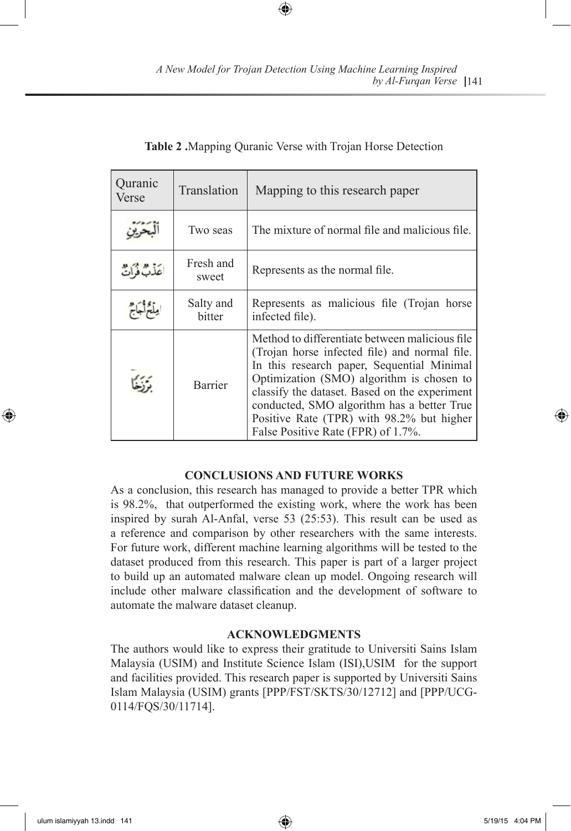| Quranic<br>Verse  | Translation         | Mapping to this research paper                                                                                                                                                                                                                                                                                                                                               |
|-------------------|---------------------|------------------------------------------------------------------------------------------------------------------------------------------------------------------------------------------------------------------------------------------------------------------------------------------------------------------------------------------------------------------------------|
|                   | Two seas            | The mixture of normal file and malicious file.                                                                                                                                                                                                                                                                                                                               |
| أَعَذَبٌ فَرَأَتٌ | Fresh and<br>sweet  | Represents as the normal file.                                                                                                                                                                                                                                                                                                                                               |
| وبأخراجاج         | Salty and<br>bitter | Represents as malicious file (Trojan horse)<br>infected file).                                                                                                                                                                                                                                                                                                               |
|                   | Barrier             | Method to differentiate between malicious file<br>(Trojan horse infected file) and normal file.<br>In this research paper, Sequential Minimal<br>Optimization (SMO) algorithm is chosen to<br>classify the dataset. Based on the experiment<br>conducted, SMO algorithm has a better True<br>Positive Rate (TPR) with 98.2% but higher<br>False Positive Rate (FPR) of 1.7%. |

## **Table 2 .**Mapping Quranic Verse with Trojan Horse Detection

⊕

## **CONCLUSIONS AND FUTURE WORKS**

As a conclusion, this research has managed to provide a better TPR which is 98.2%, that outperformed the existing work, where the work has been inspired by surah Al-Anfal, verse 53 (25:53). This result can be used as a reference and comparison by other researchers with the same interests. For future work, different machine learning algorithms will be tested to the dataset produced from this research. This paper is part of a larger project to build up an automated malware clean up model. Ongoing research will include other malware classification and the development of software to automate the malware dataset cleanup.

## **ACKNOWLEDGMENTS**

The authors would like to express their gratitude to Universiti Sains Islam Malaysia (USIM) and Institute Science Islam (ISI),USIM for the support and facilities provided. This research paper is supported by Universiti Sains Islam Malaysia (USIM) grants [PPP/FST/SKTS/30/12712] and [PPP/UCG-0114/FQS/30/11714].

⊕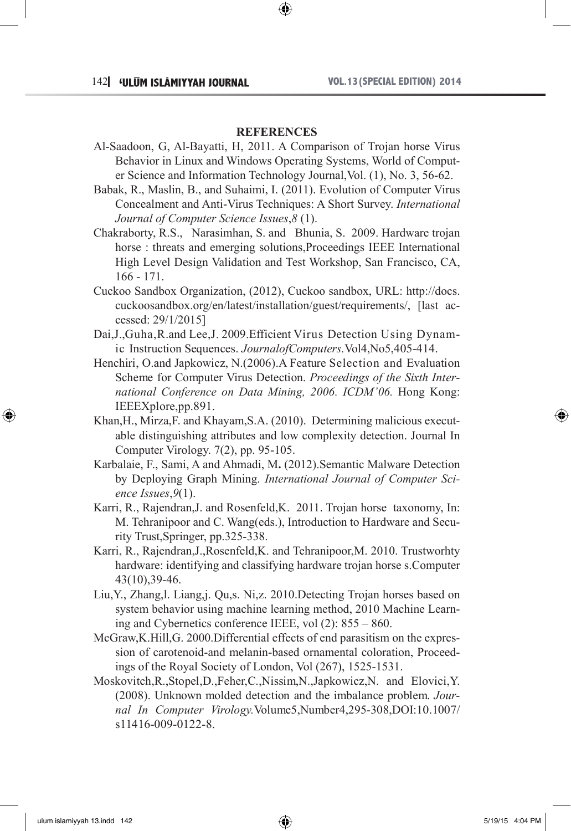#### **REFERENCES**

- Al-Saadoon, G, Al-Bayatti, H, 2011. A Comparison of Trojan horse Virus Behavior in Linux and Windows Operating Systems, World of Computer Science and Information Technology Journal,Vol. (1), No. 3, 56-62.
- Babak, R., Maslin, B., and Suhaimi, I. (2011). Evolution of Computer Virus Concealment and Anti-Virus Techniques: A Short Survey. *International Journal of Computer Science Issues*,*8* (1).
- Chakraborty, R.S., Narasimhan, S. and Bhunia, S. 2009. Hardware trojan horse : threats and emerging solutions,Proceedings IEEE International High Level Design Validation and Test Workshop, San Francisco, CA, 166 - 171.
- Cuckoo Sandbox Organization, (2012), Cuckoo sandbox, URL: http://docs. cuckoosandbox.org/en/latest/installation/guest/requirements/, [last accessed: 29/1/2015]
- Dai,J.,Guha,R.and Lee,J. 2009.Efficient Virus Detection Using Dynamic Instruction Sequences. *JournalofComputers.*Vol4,No5,405-414.
- Henchiri, O.and Japkowicz, N.(2006).A Feature Selection and Evaluation Scheme for Computer Virus Detection. *Proceedings of the Sixth International Conference on Data Mining, 2006. ICDM'06.* Hong Kong: IEEEXplore,pp.891.
- Khan,H., Mirza,F. and Khayam,S.A. (2010). Determining malicious executable distinguishing attributes and low complexity detection. Journal In Computer Virology. 7(2), pp. 95-105.
- Karbalaie, F., Sami, A and Ahmadi, M**.** (2012).Semantic Malware Detection by Deploying Graph Mining. *International Journal of Computer Science Issues*,*9*(1).
- Karri, R., Rajendran,J. and Rosenfeld,K. 2011. Trojan horse taxonomy, In: M. Tehranipoor and C. Wang(eds.), Introduction to Hardware and Security Trust,Springer, pp.325-338.
- Karri, R., Rajendran,J.,Rosenfeld,K. and Tehranipoor,M. 2010. Trustworhty hardware: identifying and classifying hardware trojan horse s.Computer 43(10),39-46.
- Liu,Y., Zhang,l. Liang,j. Qu,s. Ni,z. 2010.Detecting Trojan horses based on system behavior using machine learning method, 2010 Machine Learning and Cybernetics conference IEEE, vol (2): 855 – 860.
- McGraw,K.Hill,G. 2000.Differential effects of end parasitism on the expression of carotenoid-and melanin-based ornamental coloration, Proceedings of the Royal Society of London, Vol (267), 1525-1531.
- Moskovitch,R.,Stopel,D.,Feher,C.,Nissim,N.,Japkowicz,N. and Elovici,Y. (2008). Unknown molded detection and the imbalance problem. *Journal In Computer Virology.*Volume5,Number4,295-308,DOI:10.1007/ s11416-009-0122-8.

⊕

↔